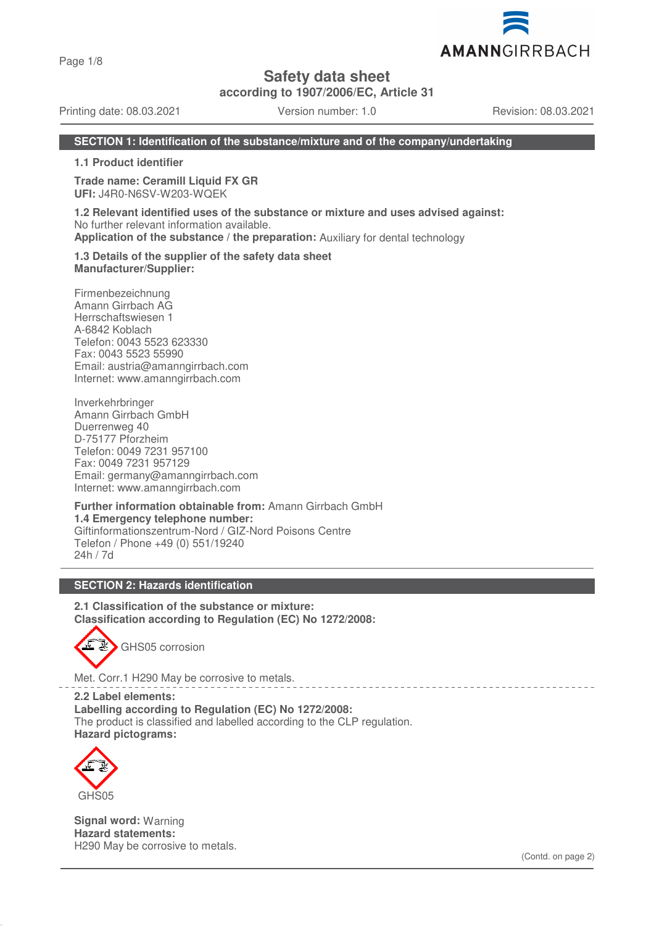Page 1/8

## **Safety data sheet**

**according to 1907/2006/EC, Article 31**

Printing date: 08.03.2021 Version number: 1.0 Revision: 08.03.2021

AMANNGIRRBACH

## **SECTION 1: Identification of the substance/mixture and of the company/undertaking**

**1.1 Product identifier**

**Trade name: Ceramill Liquid FX GR UFI:** J4R0-N6SV-W203-WQEK

**1.2 Relevant identified uses of the substance or mixture and uses advised against:** No further relevant information available. **Application of the substance / the preparation:** Auxiliary for dental technology

**1.3 Details of the supplier of the safety data sheet Manufacturer/Supplier:**

Firmenbezeichnung Amann Girrbach AG Herrschaftswiesen 1 A-6842 Koblach Telefon: 0043 5523 623330 Fax: 0043 5523 55990 Email: austria@amanngirrbach.com Internet: www.amanngirrbach.com

Inverkehrbringer Amann Girrbach GmbH Duerrenweg 40 D-75177 Pforzheim Telefon: 0049 7231 957100 Fax: 0049 7231 957129 Email: germany@amanngirrbach.com Internet: www.amanngirrbach.com

**Further information obtainable from:** Amann Girrbach GmbH **1.4 Emergency telephone number:** Giftinformationszentrum-Nord / GIZ-Nord Poisons Centre Telefon / Phone +49 (0) 551/19240 24h / 7d

## **SECTION 2: Hazards identification**

**2.1 Classification of the substance or mixture: Classification according to Regulation (EC) No 1272/2008:**



Met. Corr.1 H290 May be corrosive to metals.

**2.2 Label elements: Labelling according to Regulation (EC) No 1272/2008:** The product is classified and labelled according to the CLP regulation. **Hazard pictograms:**



**Signal word:** Warning **Hazard statements:** H290 May be corrosive to metals.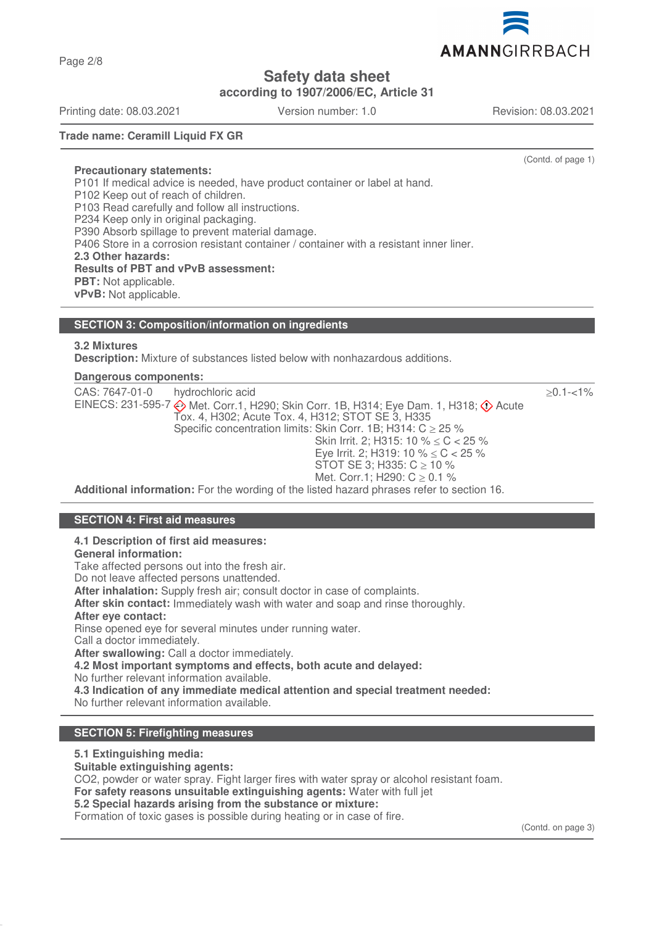Page 2/8

**Safety data sheet**

**according to 1907/2006/EC, Article 31**

Printing date: 08.03.2021 Version number: 1.0 Revision: 08.03.2021

(Contd. of page 1)

**Trade name: Ceramill Liquid FX GR**

#### **Precautionary statements:**

P101 If medical advice is needed, have product container or label at hand. P102 Keep out of reach of children. P103 Read carefully and follow all instructions. P234 Keep only in original packaging. P390 Absorb spillage to prevent material damage. P406 Store in a corrosion resistant container / container with a resistant inner liner. **2.3 Other hazards: Results of PBT and vPvB assessment: PBT:** Not applicable. **vPvB:** Not applicable.

## **SECTION 3: Composition/information on ingredients**

## **3.2 Mixtures**

**Description:** Mixture of substances listed below with nonhazardous additions.

## **Dangerous components:**

| CAS: 7647-01-0 | hydrochloric acid                                                                                                                                     | $>0.1 - 1\%$ |
|----------------|-------------------------------------------------------------------------------------------------------------------------------------------------------|--------------|
|                | EINECS: 231-595-7 Met. Corr.1, H290; Skin Corr. 1B, H314; Eye Dam. 1, H318; $\diamondsuit$ Acute<br>Tox. 4, H302; Acute Tox. 4, H312; STOT SE 3, H335 |              |
|                | Specific concentration limits: Skin Corr. 1B; H314: $C \ge 25$ %                                                                                      |              |
|                | Skin Irrit. 2; H315: 10 % $\leq$ C $\lt$ 25 %                                                                                                         |              |
|                | Eye Irrit. 2; H319: 10 % $\leq$ C $<$ 25 %                                                                                                            |              |
|                | STOT SE 3; H335: $C \ge 10$ %                                                                                                                         |              |
|                | Met. Corr.1; H290: $C \ge 0.1$ %                                                                                                                      |              |
|                | Additional information: For the werding of the listed because phropes refer to conting 10                                                             |              |

**Additional information:** For the wording of the listed hazard phrases refer to section 16.

## **SECTION 4: First aid measures**

#### **4.1 Description of first aid measures:**

**General information:**

Take affected persons out into the fresh air.

Do not leave affected persons unattended.

**After inhalation:** Supply fresh air; consult doctor in case of complaints.

**After skin contact:** Immediately wash with water and soap and rinse thoroughly.

**After eye contact:**

Rinse opened eye for several minutes under running water.

Call a doctor immediately.

**After swallowing:** Call a doctor immediately.

**4.2 Most important symptoms and effects, both acute and delayed:**

No further relevant information available.

**4.3 Indication of any immediate medical attention and special treatment needed:**

No further relevant information available.

## **SECTION 5: Firefighting measures**

#### **5.1 Extinguishing media:**

**Suitable extinguishing agents:**

CO2, powder or water spray. Fight larger fires with water spray or alcohol resistant foam.

**For safety reasons unsuitable extinguishing agents:** Water with full jet

#### **5.2 Special hazards arising from the substance or mixture:**

Formation of toxic gases is possible during heating or in case of fire.

(Contd. on page 3)

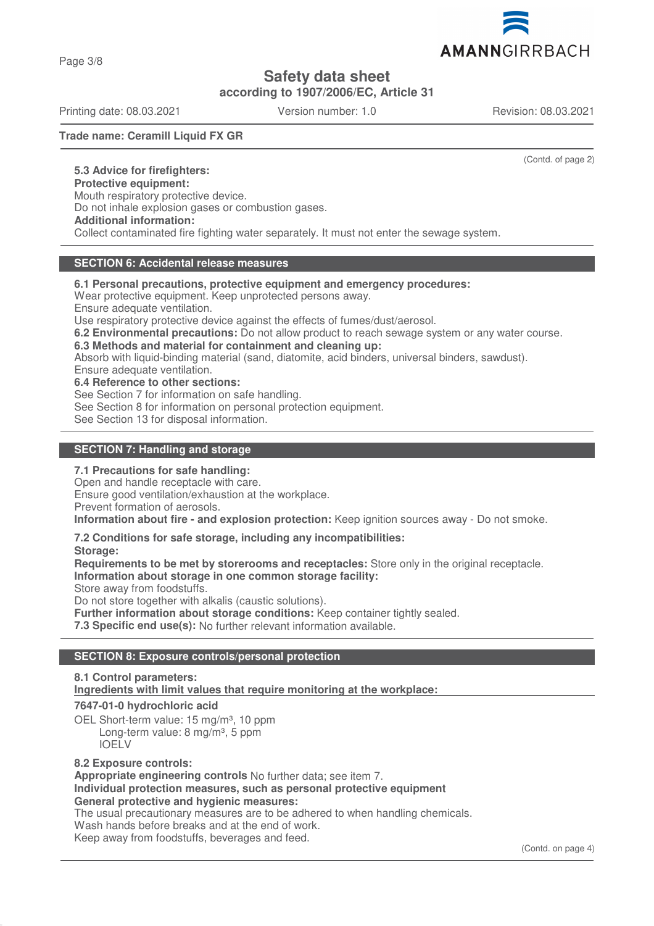Page 3/8

**Safety data sheet**

**according to 1907/2006/EC, Article 31**

Printing date: 08.03.2021 Version number: 1.0 Revision: 08.03.2021

**Trade name: Ceramill Liquid FX GR**

(Contd. of page 2)

**5.3 Advice for firefighters: Protective equipment:** Mouth respiratory protective device. Do not inhale explosion gases or combustion gases. **Additional information:** Collect contaminated fire fighting water separately. It must not enter the sewage system.

## **SECTION 6: Accidental release measures**

**6.1 Personal precautions, protective equipment and emergency procedures:**

Wear protective equipment. Keep unprotected persons away.

Ensure adequate ventilation.

Use respiratory protective device against the effects of fumes/dust/aerosol.

**6.2 Environmental precautions:** Do not allow product to reach sewage system or any water course.

**6.3 Methods and material for containment and cleaning up:**

Absorb with liquid-binding material (sand, diatomite, acid binders, universal binders, sawdust).

Ensure adequate ventilation.

**6.4 Reference to other sections:**

See Section 7 for information on safe handling.

See Section 8 for information on personal protection equipment.

See Section 13 for disposal information.

## **SECTION 7: Handling and storage**

#### **7.1 Precautions for safe handling:**

Open and handle receptacle with care.

Ensure good ventilation/exhaustion at the workplace.

Prevent formation of aerosols.

**Information about fire - and explosion protection:** Keep ignition sources away - Do not smoke.

#### **7.2 Conditions for safe storage, including any incompatibilities:**

**Storage:**

**Requirements to be met by storerooms and receptacles:** Store only in the original receptacle. **Information about storage in one common storage facility:**

Store away from foodstuffs.

Do not store together with alkalis (caustic solutions).

**Further information about storage conditions:** Keep container tightly sealed.

**7.3 Specific end use(s):** No further relevant information available.

## **SECTION 8: Exposure controls/personal protection**

## **8.1 Control parameters: Ingredients with limit values that require monitoring at the workplace:**

#### **7647-01-0 hydrochloric acid**

OEL Short-term value: 15 mg/m<sup>3</sup>, 10 ppm Long-term value: 8 mg/m<sup>3</sup>, 5 ppm IOELV

#### **8.2 Exposure controls:**

**Appropriate engineering controls** No further data; see item 7. **Individual protection measures, such as personal protective equipment General protective and hygienic measures:**

The usual precautionary measures are to be adhered to when handling chemicals. Wash hands before breaks and at the end of work. Keep away from foodstuffs, beverages and feed.

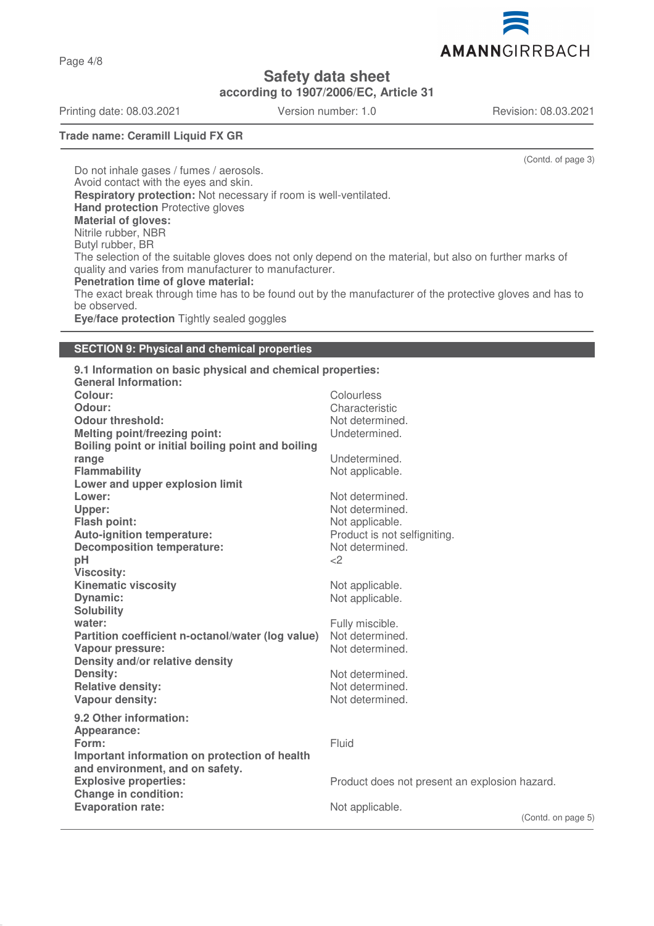AMANNGIRRBACH

**Safety data sheet**

**according to 1907/2006/EC, Article 31**

Printing date: 08.03.2021 Version number: 1.0 Revision: 08.03.2021

Page 4/8

(Contd. of page 3)

**Trade name: Ceramill Liquid FX GR**

Do not inhale gases / fumes / aerosols. Avoid contact with the eyes and skin. **Respiratory protection:** Not necessary if room is well-ventilated. **Hand protection** Protective gloves **Material of gloves:** Nitrile rubber, NBR Butyl rubber, BR The selection of the suitable gloves does not only depend on the material, but also on further marks of quality and varies from manufacturer to manufacturer. **Penetration time of glove material:** The exact break through time has to be found out by the manufacturer of the protective gloves and has to be observed. **Eye/face protection** Tightly sealed goggles

## **SECTION 9: Physical and chemical properties**

**9.1 Information on basic physical and chemical properties: General Information: Colour:** Colourless Colourless Colourless Colourless Colourless Colourless Colourless Colourless Colourless Colourless Colourless Colourless Colourless Colourless Colourless Colourless Colourless Colourless Colourless Col **Odour:** Characteristic **Odour threshold:** Not determined. **Melting point/freezing point:** Undetermined. **Boiling point or initial boiling point and boiling range** Undetermined. **Flammability** Not applicable. **Lower and upper explosion limit Lower:** Not determined. Upper: We have a set of the set of the set of the set of the set of the set of the set of the set of the set of the set of the set of the set of the set of the set of the set of the set of the set of the set of the set of **Flash point:** Not applicable. Auto-ignition temperature:<br>
Decomposition temperature:<br>
Not determined. **Decomposition temperature:** No<br> **pH** <2 **pH**  $\langle 2$ **Viscosity: Kinematic viscosity Not applicable.** Not applicable. **Dynamic:** Not applicable. **Solubility water:**  $\blacksquare$ **Partition coefficient n-octanol/water (log value)** Not determined.<br>Vapour pressure: Not determined. **Vapour pressure: Density and/or relative density Density:** Not determined. **Relative density:** Not determined. **Vapour density:** Not determined. **9.2 Other information: Appearance: Form:** Fluid **Important information on protection of health and environment, and on safety. Explosive properties:** explosion hazard. Product does not present an explosion hazard. **Change in condition: Evaporation rate:** Not applicable.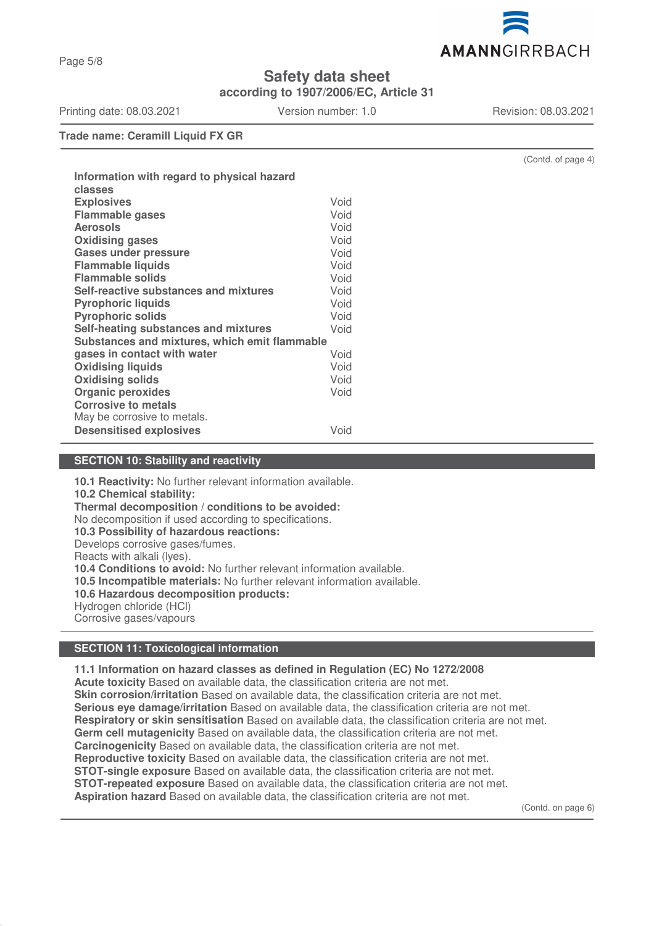

**Safety data sheet**

**according to 1907/2006/EC, Article 31**

Printing date: 08.03.2021 Version number: 1.0 Revision: 08.03.2021

(Contd. of page 4)

**Trade name: Ceramill Liquid FX GR**

| Information with regard to physical hazard<br>classes |      |
|-------------------------------------------------------|------|
| <b>Explosives</b>                                     | Void |
| <b>Flammable gases</b>                                | Void |
| <b>Aerosols</b>                                       | Void |
| <b>Oxidising gases</b>                                | Void |
| <b>Gases under pressure</b>                           | Void |
| <b>Flammable liquids</b>                              | Void |
| <b>Flammable solids</b>                               | Void |
| Self-reactive substances and mixtures                 | Void |
| <b>Pyrophoric liquids</b>                             | Void |
| <b>Pyrophoric solids</b>                              | Void |
| Self-heating substances and mixtures                  | Void |
| Substances and mixtures, which emit flammable         |      |
| gases in contact with water                           | Void |
| <b>Oxidising liquids</b>                              | Void |
| <b>Oxidising solids</b>                               | Void |
| <b>Organic peroxides</b>                              | Void |
| <b>Corrosive to metals</b>                            |      |
| May be corrosive to metals.                           |      |
| <b>Desensitised explosives</b>                        | Void |
|                                                       |      |

## **SECTION 10: Stability and reactivity**

**10.1 Reactivity:** No further relevant information available. **10.2 Chemical stability: Thermal decomposition / conditions to be avoided:** No decomposition if used according to specifications. **10.3 Possibility of hazardous reactions:** Develops corrosive gases/fumes. Reacts with alkali (lyes). **10.4 Conditions to avoid:** No further relevant information available. **10.5 Incompatible materials:** No further relevant information available. **10.6 Hazardous decomposition products:** Hydrogen chloride (HCl) Corrosive gases/vapours

## **SECTION 11: Toxicological information**

**11.1 Information on hazard classes as defined in Regulation (EC) No 1272/2008 Acute toxicity** Based on available data, the classification criteria are not met. **Skin corrosion/irritation** Based on available data, the classification criteria are not met. **Serious eye damage/irritation** Based on available data, the classification criteria are not met. **Respiratory or skin sensitisation** Based on available data, the classification criteria are not met. **Germ cell mutagenicity** Based on available data, the classification criteria are not met. **Carcinogenicity** Based on available data, the classification criteria are not met. **Reproductive toxicity** Based on available data, the classification criteria are not met. **STOT-single exposure** Based on available data, the classification criteria are not met. **STOT-repeated exposure** Based on available data, the classification criteria are not met. **Aspiration hazard** Based on available data, the classification criteria are not met.

(Contd. on page 6)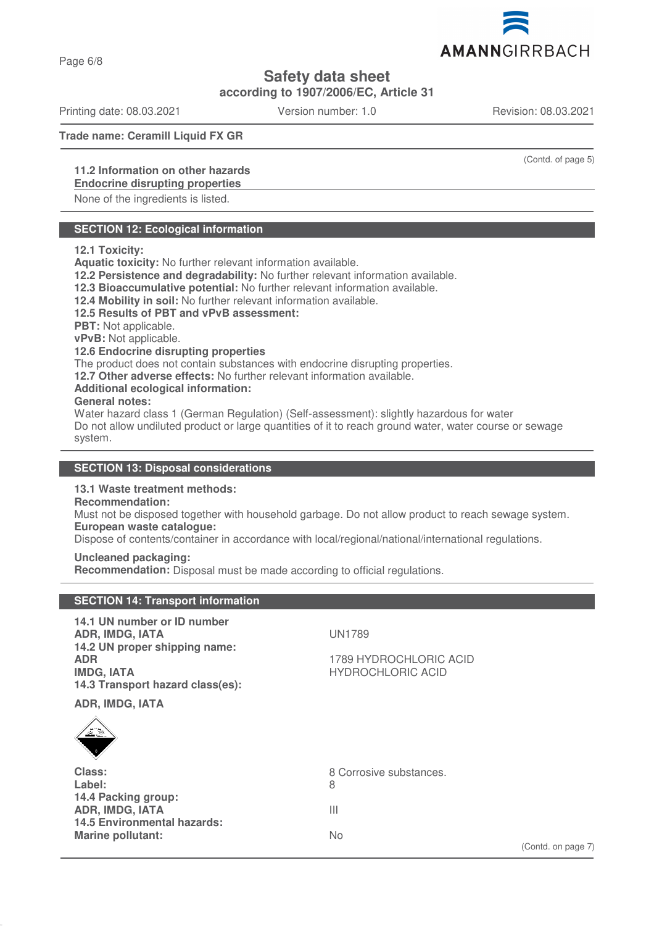Page 6/8

**Safety data sheet**

**according to 1907/2006/EC, Article 31**

Printing date: 08.03.2021 Version number: 1.0 Revision: 08.03.2021

**Trade name: Ceramill Liquid FX GR**

## **11.2 Information on other hazards**

## **Endocrine disrupting properties**

None of the ingredients is listed.

## **SECTION 12: Ecological information**

#### **12.1 Toxicity:**

**Aquatic toxicity:** No further relevant information available.

**12.2 Persistence and degradability:** No further relevant information available.

**12.3 Bioaccumulative potential:** No further relevant information available.

**12.4 Mobility in soil:** No further relevant information available.

#### **12.5 Results of PBT and vPvB assessment:**

**PBT:** Not applicable.

**vPvB:** Not applicable.

#### **12.6 Endocrine disrupting properties**

The product does not contain substances with endocrine disrupting properties.

**12.7 Other adverse effects:** No further relevant information available.

#### **Additional ecological information:**

#### **General notes:**

Water hazard class 1 (German Regulation) (Self-assessment): slightly hazardous for water Do not allow undiluted product or large quantities of it to reach ground water, water course or sewage system.

## **SECTION 13: Disposal considerations**

## **13.1 Waste treatment methods:**

**SECTION 14: Transport information**

## **Recommendation:**

Must not be disposed together with household garbage. Do not allow product to reach sewage system. **European waste catalogue:**

Dispose of contents/container in accordance with local/regional/national/international regulations.

#### **Uncleaned packaging:**

**Recommendation:** Disposal must be made according to official regulations.

| 14.1 UN number or ID number<br><b>ADR, IMDG, IATA</b><br>14.2 UN proper shipping name:<br><b>ADR</b><br><b>IMDG, IATA</b><br>14.3 Transport hazard class(es): | <b>UN1789</b><br>1789 HYDROCHLORIC ACID<br><b>HYDROCHLORIC ACID</b> |
|---------------------------------------------------------------------------------------------------------------------------------------------------------------|---------------------------------------------------------------------|
| ADR, IMDG, IATA                                                                                                                                               |                                                                     |
| $\frac{1}{\sqrt{2}}$                                                                                                                                          |                                                                     |
| Class:                                                                                                                                                        | 8 Corrosive substances.                                             |
| Label:                                                                                                                                                        | 8                                                                   |
| 14.4 Packing group:<br><b>ADR, IMDG, IATA</b>                                                                                                                 | Ш                                                                   |
| <b>14.5 Environmental hazards:</b>                                                                                                                            |                                                                     |
| <b>Marine pollutant:</b>                                                                                                                                      | No.                                                                 |
|                                                                                                                                                               | (Contd. on page 7)                                                  |

AMANNGIRRBACH

(Contd. of page 5)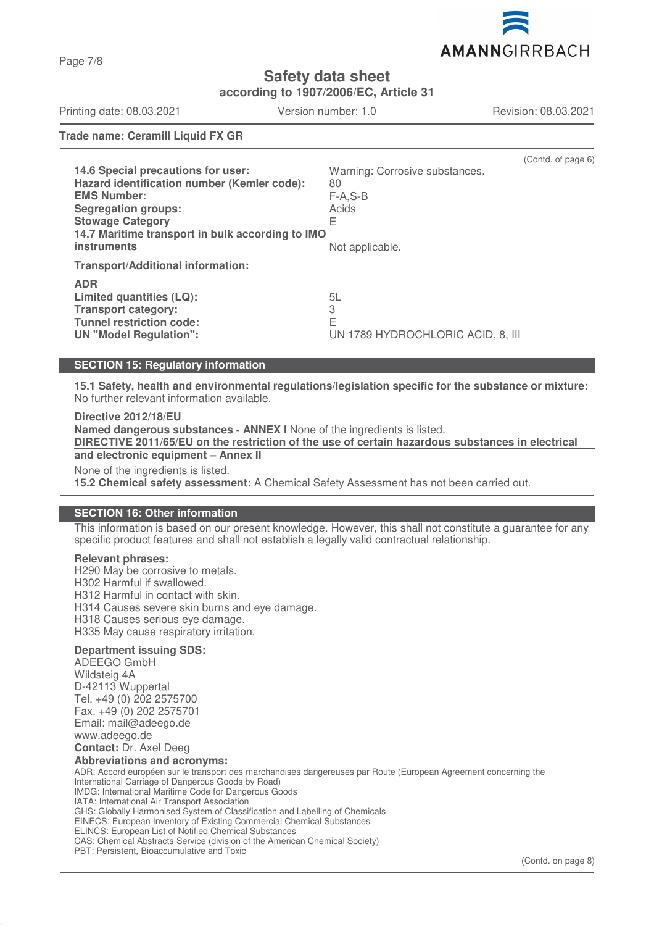

**Safety data sheet**

**according to 1907/2006/EC, Article 31**

Printing date: 08.03.2021 Version number: 1.0 Revision: 08.03.2021

**Trade name: Ceramill Liquid FX GR**

| 14.6 Special precautions for user:<br>Hazard identification number (Kemler code):<br><b>EMS Number:</b><br><b>Segregation groups:</b><br><b>Stowage Category</b><br>14.7 Maritime transport in bulk according to IMO<br><b>instruments</b> | Warning: Corrosive substances.<br>80<br>$F-A, S-B$<br>Acids<br>E<br>Not applicable. | (Contd. of page 6) |
|--------------------------------------------------------------------------------------------------------------------------------------------------------------------------------------------------------------------------------------------|-------------------------------------------------------------------------------------|--------------------|
| <b>Transport/Additional information:</b>                                                                                                                                                                                                   |                                                                                     |                    |
| <b>ADR</b><br>Limited quantities (LQ):<br><b>Transport category:</b><br><b>Tunnel restriction code:</b><br><b>UN "Model Regulation":</b>                                                                                                   | 5L<br>3<br>F<br>UN 1789 HYDROCHLORIC ACID, 8, III                                   |                    |

#### **SECTION 15: Regulatory information**

**15.1 Safety, health and environmental regulations/legislation specific for the substance or mixture:** No further relevant information available.

**Directive 2012/18/EU Named dangerous substances - ANNEX I** None of the ingredients is listed. **DIRECTIVE 2011/65/EU on the restriction of the use of certain hazardous substances in electrical and electronic equipment – Annex II** None of the ingredients is listed. **15.2 Chemical safety assessment:** A Chemical Safety Assessment has not been carried out.

#### **SECTION 16: Other information**

This information is based on our present knowledge. However, this shall not constitute a guarantee for any specific product features and shall not establish a legally valid contractual relationship.

#### **Relevant phrases:**

H290 May be corrosive to metals. H302 Harmful if swallowed. H312 Harmful in contact with skin. H314 Causes severe skin burns and eye damage. H318 Causes serious eye damage. H335 May cause respiratory irritation.

#### **Department issuing SDS:**

ADEEGO GmbH Wildsteig 4A D-42113 Wuppertal Tel. +49 (0) 202 2575700 Fax. +49 (0) 202 2575701 Email: mail@adeego.de www.adeego.de

#### **Contact:** Dr. Axel Deeg **Abbreviations and acronyms:**

ADR: Accord européen sur le transport des marchandises dangereuses par Route (European Agreement concerning the International Carriage of Dangerous Goods by Road) IMDG: International Maritime Code for Dangerous Goods IATA: International Air Transport Association GHS: Globally Harmonised System of Classification and Labelling of Chemicals EINECS: European Inventory of Existing Commercial Chemical Substances ELINCS: European List of Notified Chemical Substances CAS: Chemical Abstracts Service (division of the American Chemical Society) PBT: Persistent, Bioaccumulative and Toxic

Page 7/8